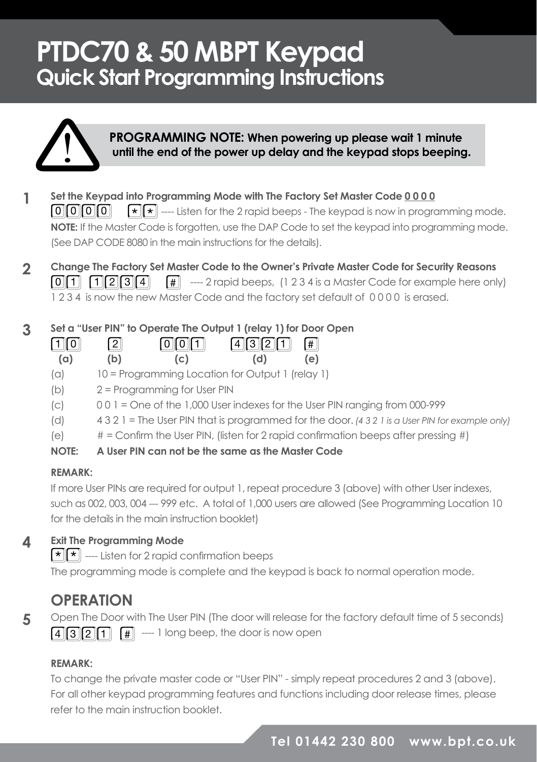# **PTDC70 & 50 MBPT Keypad Quick Start Programming Instructions**



# **PROGRAMMING NOTE: When powering up please wait 1 minute until the end of the power up delay and the keypad stops beeping.**

- **Set the Keypad into Programming Mode with The Factory Set Master Code 0 0 0 0**  $\mathbf{F}[\mathbf{x}]$  ----- Listen for the 2 rapid beeps - The keypad is now in programming mode. **NOTE:** If the Master Code is forgotten, use the DAP Code to set the keypad into programming mode. (See DAP CODE 8080 in the main instructions for the details).  $\lceil 0 \rceil$ **1**
- **Change The Factory Set Master Code to the Owner's Private Master Code for Security Reasons Fig.** ---- 2 rapid beeps, (1 2 3 4 is a Master Code for example here only) 1 2 3 4 is now the new Master Code and the factory set default of 0 0 0 0 is erased.  $\lceil 0 \rceil \rceil \rceil \rceil \rceil \rceil \rceil \rceil \rceil \rceil$ **2**

#### **Set a "User PIN" to Operate The Output 1 (relay 1) for Door Open 3**

| 回回  | $\boxed{2}$ | $[0]$ $[1]$ | $4321$ # |     |
|-----|-------------|-------------|----------|-----|
| (a) | (b)         | (c)         | (d)      | (e) |

- (a) 10 = Programming Location for Output 1 (relay 1)
- (b) 2 = Programming for User PIN
- (c) 0 0 1 = One of the 1,000 User indexes for the User PIN ranging from 000-999
- (d) 4 3 2 1 = The User PIN that is programmed for the door. *(4 3 2 1 is a User PIN for example only)*
- (e)  $\#$  = Confirm the User PIN, (listen for 2 rapid confirmation beeps after pressing  $\#$ )

### **NOTE: A User PIN can not be the same as the Master Code**

### **REMARK:**

If more User PINs are required for output 1, repeat procedure 3 (above) with other User indexes, such as 002, 003, 004 --- 999 etc. A total of 1,000 users are allowed (See Programming Location 10 for the details in the main instruction booklet)

#### **Exit The Programming Mode 4**

**\* \*** --- Listen for 2 rapid confirmation beeps

The programming mode is complete and the keypad is back to normal operation mode.

## **OPERATION**

**5**

Open The Door with The User PIN (The door will release for the factory default time of 5 seconds)  $\boxed{4}$  $\boxed{3}$  $\boxed{2}$  $\boxed{1}$   $\boxed{4}$   $\boxed{3}$   $\boxed{2}$   $\boxed{1}$   $\boxed{4}$   $\boxed{3}$   $\boxed{2}$   $\boxed{1}$   $\boxed{4}$   $\boxed{3}$   $\boxed{2}$   $\boxed{1}$   $\boxed{4}$   $\boxed{3}$   $\boxed{2}$   $\boxed{1}$   $\boxed{4}$   $\boxed{3}$   $\boxed{2}$   $\boxed{1}$   $\boxed{4}$   $\boxed{3}$   $\boxed{2}$   $\boxed{1}$ 

## **REMARK:**

To change the private master code or "User PIN" - simply repeat procedures 2 and 3 (above). For all other keypad programming features and functions including door release times, please refer to the main instruction booklet.